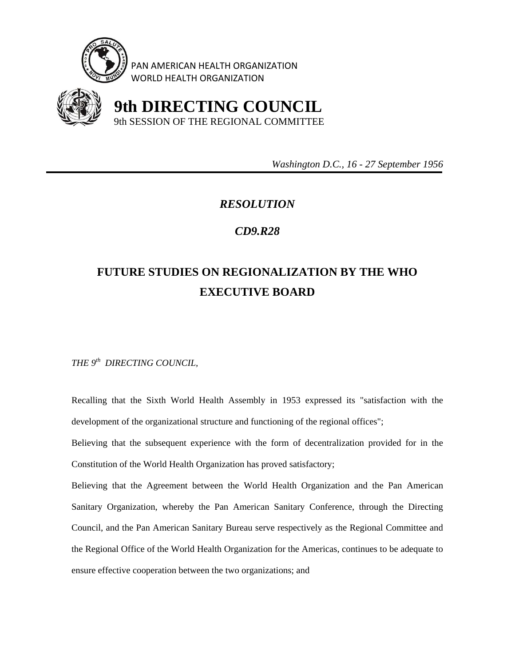

PAN AMERICAN HEALTH ORGANIZATION WORLD HEALTH ORGANIZATION



 **9th DIRECTING COUNCIL** 9th SESSION OF THE REGIONAL COMMITTEE

 *Washington D.C., 16 - 27 September 1956* 

## *RESOLUTION*

## *CD9.R28*

## **FUTURE STUDIES ON REGIONALIZATION BY THE WHO EXECUTIVE BOARD**

*THE 9th DIRECTING COUNCIL,* 

Recalling that the Sixth World Health Assembly in 1953 expressed its "satisfaction with the development of the organizational structure and functioning of the regional offices";

Believing that the subsequent experience with the form of decentralization provided for in the Constitution of the World Health Organization has proved satisfactory;

Believing that the Agreement between the World Health Organization and the Pan American Sanitary Organization, whereby the Pan American Sanitary Conference, through the Directing Council, and the Pan American Sanitary Bureau serve respectively as the Regional Committee and the Regional Office of the World Health Organization for the Americas, continues to be adequate to ensure effective cooperation between the two organizations; and